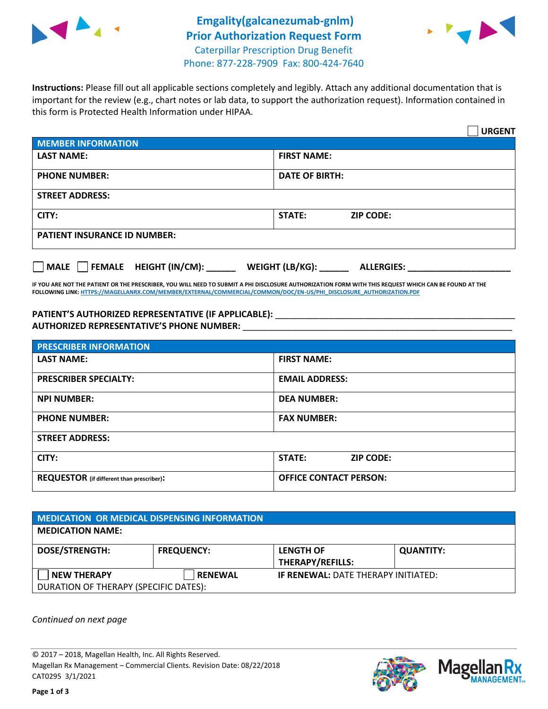



**Instructions:** Please fill out all applicable sections completely and legibly. Attach any additional documentation that is important for the review (e.g., chart notes or lab data, to support the authorization request). Information contained in this form is Protected Health Information under HIPAA.

|                                        | <b>URGENT</b>                        |  |  |  |
|----------------------------------------|--------------------------------------|--|--|--|
| <b>MEMBER INFORMATION</b>              |                                      |  |  |  |
| <b>LAST NAME:</b>                      | <b>FIRST NAME:</b>                   |  |  |  |
| <b>PHONE NUMBER:</b>                   | <b>DATE OF BIRTH:</b>                |  |  |  |
| <b>STREET ADDRESS:</b>                 |                                      |  |  |  |
| CITY:                                  | <b>STATE:</b><br><b>ZIP CODE:</b>    |  |  |  |
| <b>PATIENT INSURANCE ID NUMBER:</b>    |                                      |  |  |  |
| FEMALE HEIGHT (IN/CM):<br>$ $ MALE $ $ | WEIGHT (LB/KG):<br><b>ALLERGIES:</b> |  |  |  |

**IF YOU ARE NOT THE PATIENT OR THE PRESCRIBER, YOU WILL NEED TO SUBMIT A PHI DISCLOSURE AUTHORIZATION FORM WITH THIS REQUEST WHICH CAN BE FOUND AT THE FOLLOWING LINK[: HTTPS://MAGELLANRX.COM/MEMBER/EXTERNAL/COMMERCIAL/COMMON/DOC/EN-US/PHI\\_DISCLOSURE\\_AUTHORIZATION.PDF](https://magellanrx.com/member/external/commercial/common/doc/en-us/PHI_Disclosure_Authorization.pdf)**

PATIENT'S AUTHORIZED REPRESENTATIVE (IF APPLICABLE): \_\_\_\_\_\_\_\_\_\_\_\_\_\_\_\_\_\_\_\_\_\_\_\_\_\_\_ **AUTHORIZED REPRESENTATIVE'S PHONE NUMBER:** \_\_\_\_\_\_\_\_\_\_\_\_\_\_\_\_\_\_\_\_\_\_\_\_\_\_\_\_\_\_\_\_\_\_\_\_\_\_\_\_\_\_\_\_\_\_\_\_\_\_\_\_\_\_\_

| <b>PRESCRIBER INFORMATION</b>             |                               |  |  |  |
|-------------------------------------------|-------------------------------|--|--|--|
| <b>LAST NAME:</b>                         | <b>FIRST NAME:</b>            |  |  |  |
| <b>PRESCRIBER SPECIALTY:</b>              | <b>EMAIL ADDRESS:</b>         |  |  |  |
| <b>NPI NUMBER:</b>                        | <b>DEA NUMBER:</b>            |  |  |  |
| <b>PHONE NUMBER:</b>                      | <b>FAX NUMBER:</b>            |  |  |  |
| <b>STREET ADDRESS:</b>                    |                               |  |  |  |
| CITY:                                     | STATE:<br><b>ZIP CODE:</b>    |  |  |  |
| REQUESTOR (if different than prescriber): | <b>OFFICE CONTACT PERSON:</b> |  |  |  |

| <b>MEDICATION OR MEDICAL DISPENSING INFORMATION</b> |                   |                                            |                  |  |
|-----------------------------------------------------|-------------------|--------------------------------------------|------------------|--|
| <b>MEDICATION NAME:</b>                             |                   |                                            |                  |  |
| <b>DOSE/STRENGTH:</b>                               | <b>FREQUENCY:</b> | <b>LENGTH OF</b>                           | <b>QUANTITY:</b> |  |
|                                                     |                   | <b>THERAPY/REFILLS:</b>                    |                  |  |
| <b>NEW THERAPY</b>                                  | <b>RENEWAL</b>    | <b>IF RENEWAL: DATE THERAPY INITIATED:</b> |                  |  |
| DURATION OF THERAPY (SPECIFIC DATES):               |                   |                                            |                  |  |

*Continued on next page*

© 2017 – 2018, Magellan Health, Inc. All Rights Reserved. Magellan Rx Management – Commercial Clients. Revision Date: 08/22/2018 CAT0295 3/1/2021



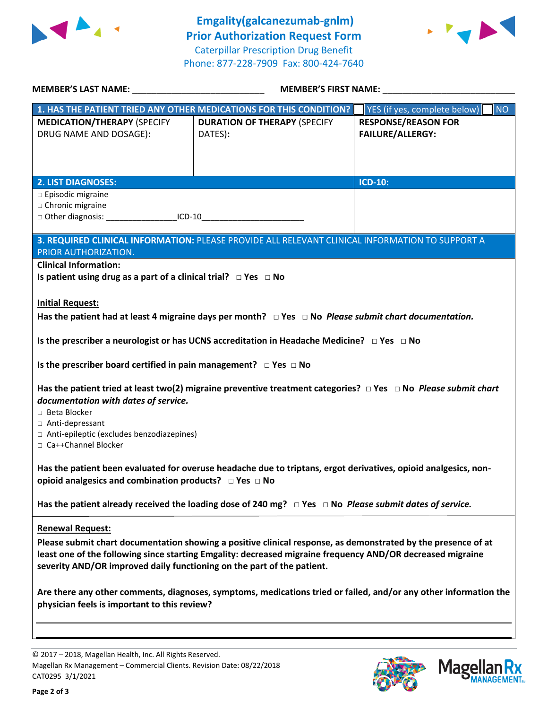



| MEMBER'S LAST NAME: NAME: NAME AND A SERIES AND A SERIES OF STREET AND A SERIES OF STREET AND A SERIES OF STRE                                                                                                                                                                                                                   | <b>MEMBER'S FIRST NAME:</b>                                                                                              |                                                                                             |  |  |
|----------------------------------------------------------------------------------------------------------------------------------------------------------------------------------------------------------------------------------------------------------------------------------------------------------------------------------|--------------------------------------------------------------------------------------------------------------------------|---------------------------------------------------------------------------------------------|--|--|
| 1. HAS THE PATIENT TRIED ANY OTHER MEDICATIONS FOR THIS CONDITION?<br><b>MEDICATION/THERAPY (SPECIFY</b><br>DRUG NAME AND DOSAGE):                                                                                                                                                                                               | <b>DURATION OF THERAPY (SPECIFY</b><br>DATES):                                                                           | NO<br>YES (if yes, complete below)<br><b>RESPONSE/REASON FOR</b><br><b>FAILURE/ALLERGY:</b> |  |  |
| <b>2. LIST DIAGNOSES:</b>                                                                                                                                                                                                                                                                                                        |                                                                                                                          | <b>ICD-10:</b>                                                                              |  |  |
| $\Box$ Episodic migraine<br>□ Chronic migraine<br>□ Other diagnosis: _____________________ICD-10_________________________________                                                                                                                                                                                                |                                                                                                                          |                                                                                             |  |  |
|                                                                                                                                                                                                                                                                                                                                  | 3. REQUIRED CLINICAL INFORMATION: PLEASE PROVIDE ALL RELEVANT CLINICAL INFORMATION TO SUPPORT A                          |                                                                                             |  |  |
| PRIOR AUTHORIZATION.<br><b>Clinical Information:</b><br>Is patient using drug as a part of a clinical trial? $\Box$ Yes $\Box$ No                                                                                                                                                                                                |                                                                                                                          |                                                                                             |  |  |
| <b>Initial Request:</b><br>Has the patient had at least 4 migraine days per month? $\Box$ Yes $\Box$ No <i>Please submit chart documentation.</i>                                                                                                                                                                                |                                                                                                                          |                                                                                             |  |  |
|                                                                                                                                                                                                                                                                                                                                  | Is the prescriber a neurologist or has UCNS accreditation in Headache Medicine? $\Box$ Yes $\Box$ No                     |                                                                                             |  |  |
| Is the prescriber board certified in pain management? $\Box$ Yes $\Box$ No                                                                                                                                                                                                                                                       |                                                                                                                          |                                                                                             |  |  |
| documentation with dates of service.<br>□ Beta Blocker<br>□ Anti-depressant<br>□ Anti-epileptic (excludes benzodiazepines)<br>□ Ca++Channel Blocker                                                                                                                                                                              | Has the patient tried at least two(2) migraine preventive treatment categories? $\Box$ Yes $\Box$ No Please submit chart |                                                                                             |  |  |
| Has the patient been evaluated for overuse headache due to triptans, ergot derivatives, opioid analgesics, non-<br>opioid analgesics and combination products? □ Yes □ No                                                                                                                                                        |                                                                                                                          |                                                                                             |  |  |
| Has the patient already received the loading dose of 240 mg? $\Box$ Yes $\Box$ No Please submit dates of service.                                                                                                                                                                                                                |                                                                                                                          |                                                                                             |  |  |
| <b>Renewal Request:</b><br>Please submit chart documentation showing a positive clinical response, as demonstrated by the presence of at<br>least one of the following since starting Emgality: decreased migraine frequency AND/OR decreased migraine<br>severity AND/OR improved daily functioning on the part of the patient. |                                                                                                                          |                                                                                             |  |  |
| Are there any other comments, diagnoses, symptoms, medications tried or failed, and/or any other information the<br>physician feels is important to this review?                                                                                                                                                                 |                                                                                                                          |                                                                                             |  |  |
|                                                                                                                                                                                                                                                                                                                                  |                                                                                                                          |                                                                                             |  |  |

© 2017 – 2018, Magellan Health, Inc. All Rights Reserved. Magellan Rx Management – Commercial Clients. Revision Date: 08/22/2018 CAT0295 3/1/2021